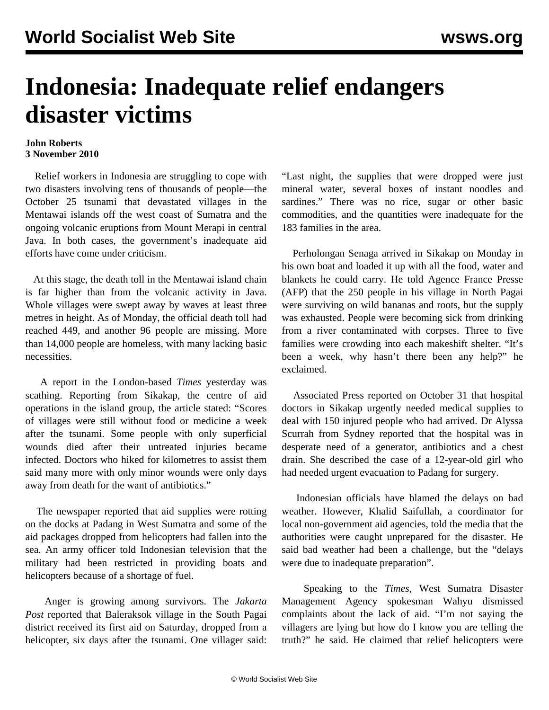## **Indonesia: Inadequate relief endangers disaster victims**

## **John Roberts 3 November 2010**

 Relief workers in Indonesia are struggling to cope with two disasters involving tens of thousands of people—the October 25 tsunami that devastated villages in the Mentawai islands off the west coast of Sumatra and the ongoing volcanic eruptions from Mount Merapi in central Java. In both cases, the government's inadequate aid efforts have come under criticism.

 At this stage, the death toll in the Mentawai island chain is far higher than from the volcanic activity in Java. Whole villages were swept away by waves at least three metres in height. As of Monday, the official death toll had reached 449, and another 96 people are missing. More than 14,000 people are homeless, with many lacking basic necessities.

 A report in the London-based *Times* yesterday was scathing. Reporting from Sikakap, the centre of aid operations in the island group, the article stated: "Scores of villages were still without food or medicine a week after the tsunami. Some people with only superficial wounds died after their untreated injuries became infected. Doctors who hiked for kilometres to assist them said many more with only minor wounds were only days away from death for the want of antibiotics."

 The newspaper reported that aid supplies were rotting on the docks at Padang in West Sumatra and some of the aid packages dropped from helicopters had fallen into the sea. An army officer told Indonesian television that the military had been restricted in providing boats and helicopters because of a shortage of fuel.

 Anger is growing among survivors. The *Jakarta Post* reported that Baleraksok village in the South Pagai district received its first aid on Saturday, dropped from a helicopter, six days after the tsunami. One villager said:

"Last night, the supplies that were dropped were just mineral water, several boxes of instant noodles and sardines." There was no rice, sugar or other basic commodities, and the quantities were inadequate for the 183 families in the area.

 Perholongan Senaga arrived in Sikakap on Monday in his own boat and loaded it up with all the food, water and blankets he could carry. He told Agence France Presse (AFP) that the 250 people in his village in North Pagai were surviving on wild bananas and roots, but the supply was exhausted. People were becoming sick from drinking from a river contaminated with corpses. Three to five families were crowding into each makeshift shelter. "It's been a week, why hasn't there been any help?" he exclaimed.

 Associated Press reported on October 31 that hospital doctors in Sikakap urgently needed medical supplies to deal with 150 injured people who had arrived. Dr Alyssa Scurrah from Sydney reported that the hospital was in desperate need of a generator, antibiotics and a chest drain. She described the case of a 12-year-old girl who had needed urgent evacuation to Padang for surgery.

 Indonesian officials have blamed the delays on bad weather. However, Khalid Saifullah, a coordinator for local non-government aid agencies, told the media that the authorities were caught unprepared for the disaster. He said bad weather had been a challenge, but the "delays were due to inadequate preparation".

 Speaking to the *Times*, West Sumatra Disaster Management Agency spokesman Wahyu dismissed complaints about the lack of aid. "I'm not saying the villagers are lying but how do I know you are telling the truth?" he said. He claimed that relief helicopters were